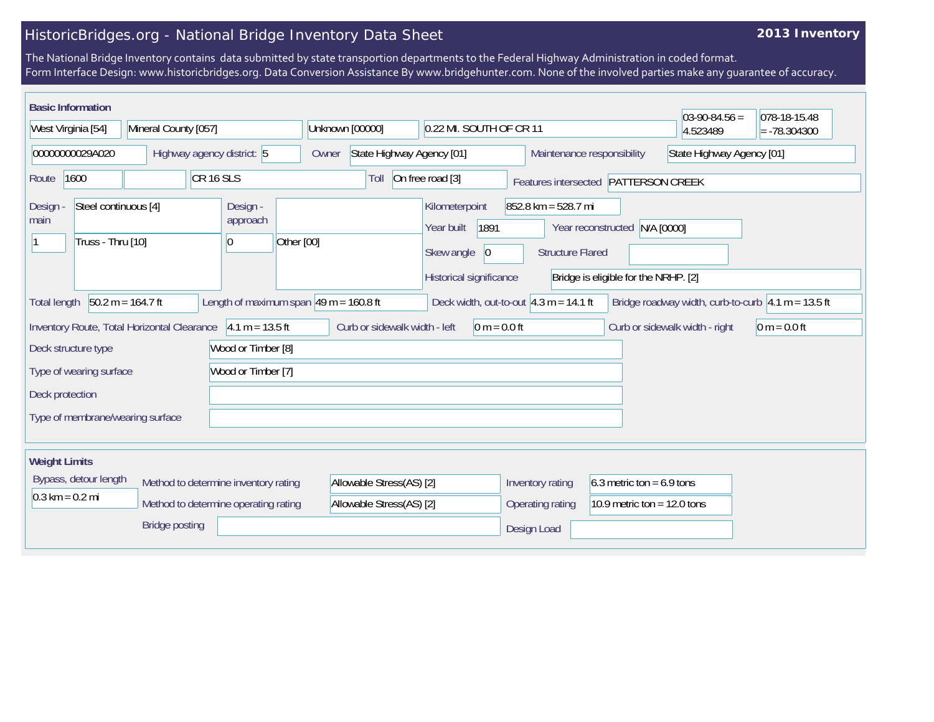## HistoricBridges.org - National Bridge Inventory Data Sheet

## **2013 Inventory**

The National Bridge Inventory contains data submitted by state transportion departments to the Federal Highway Administration in coded format. Form Interface Design: www.historicbridges.org. Data Conversion Assistance By www.bridgehunter.com. None of the involved parties make any guarantee of accuracy.

| <b>Basic Information</b><br>West Virginia [54]<br>Mineral County [057]                                                                                                                                                         |                                              |                                  | Unknown [00000]<br>0.22 MI. SOUTH OF CR 11                    |                                                                  |                                      |                         | $03-90-84.56 =$<br>4.523489   | 078-18-15.48<br>$= -78.304300$                          |                                |                |  |
|--------------------------------------------------------------------------------------------------------------------------------------------------------------------------------------------------------------------------------|----------------------------------------------|----------------------------------|---------------------------------------------------------------|------------------------------------------------------------------|--------------------------------------|-------------------------|-------------------------------|---------------------------------------------------------|--------------------------------|----------------|--|
|                                                                                                                                                                                                                                |                                              |                                  |                                                               |                                                                  |                                      |                         |                               |                                                         |                                |                |  |
| 00000000029A020                                                                                                                                                                                                                |                                              | Highway agency district: 5       |                                                               | Owner                                                            | State Highway Agency [01]            |                         |                               | State Highway Agency [01]<br>Maintenance responsibility |                                |                |  |
| CR <sub>16</sub> SLS<br>1600<br>Route                                                                                                                                                                                          |                                              |                                  |                                                               | On free road [3]<br>Toll<br>Features intersected PATTERSON CREEK |                                      |                         |                               |                                                         |                                |                |  |
| <b>Design</b><br>main                                                                                                                                                                                                          | Steel continuous [4]<br>Design -<br>approach |                                  |                                                               |                                                                  | Kilometerpoint<br>1891<br>Year built |                         |                               | $852.8$ km = 528.7 mi<br>Year reconstructed N/A [0000]  |                                |                |  |
|                                                                                                                                                                                                                                | Truss - Thru [10]<br>$\overline{0}$          |                                  | Other [00]                                                    | Skew angle                                                       |                                      | <b>Structure Flared</b> |                               |                                                         |                                |                |  |
|                                                                                                                                                                                                                                |                                              |                                  |                                                               |                                                                  |                                      | Historical significance |                               | Bridge is eligible for the NRHP. [2]                    |                                |                |  |
| $50.2 m = 164.7 ft$<br>Length of maximum span $ 49 \text{ m} = 160.8 \text{ ft} $<br>Deck width, out-to-out $4.3 m = 14.1 ft$<br>Bridge roadway width, curb-to-curb $ 4.1 \text{ m} = 13.5 \text{ ft} $<br><b>Total length</b> |                                              |                                  |                                                               |                                                                  |                                      |                         |                               |                                                         |                                |                |  |
|                                                                                                                                                                                                                                |                                              |                                  | Inventory Route, Total Horizontal Clearance   4.1 m = 13.5 ft |                                                                  | Curb or sidewalk width - left        | $0 m = 0.0 ft$          |                               |                                                         | Curb or sidewalk width - right | $0 m = 0.0 ft$ |  |
|                                                                                                                                                                                                                                | Deck structure type                          |                                  | Wood or Timber [8]                                            |                                                                  |                                      |                         |                               |                                                         |                                |                |  |
| Wood or Timber [7]<br>Type of wearing surface                                                                                                                                                                                  |                                              |                                  |                                                               |                                                                  |                                      |                         |                               |                                                         |                                |                |  |
| Deck protection                                                                                                                                                                                                                |                                              |                                  |                                                               |                                                                  |                                      |                         |                               |                                                         |                                |                |  |
|                                                                                                                                                                                                                                |                                              | Type of membrane/wearing surface |                                                               |                                                                  |                                      |                         |                               |                                                         |                                |                |  |
|                                                                                                                                                                                                                                |                                              |                                  |                                                               |                                                                  |                                      |                         |                               |                                                         |                                |                |  |
| <b>Weight Limits</b>                                                                                                                                                                                                           |                                              |                                  |                                                               |                                                                  |                                      |                         |                               |                                                         |                                |                |  |
| Bypass, detour length<br>Method to determine inventory rating                                                                                                                                                                  |                                              |                                  |                                                               | Allowable Stress(AS) [2]                                         |                                      | Inventory rating        | 6.3 metric ton = $6.9$ tons   |                                                         |                                |                |  |
| $0.3 \text{ km} = 0.2 \text{ mi}$<br>Method to determine operating rating                                                                                                                                                      |                                              |                                  |                                                               | Allowable Stress(AS) [2]                                         |                                      | Operating rating        | 10.9 metric ton = $12.0$ tons |                                                         |                                |                |  |
| <b>Bridge posting</b>                                                                                                                                                                                                          |                                              |                                  |                                                               |                                                                  |                                      | Design Load             |                               |                                                         |                                |                |  |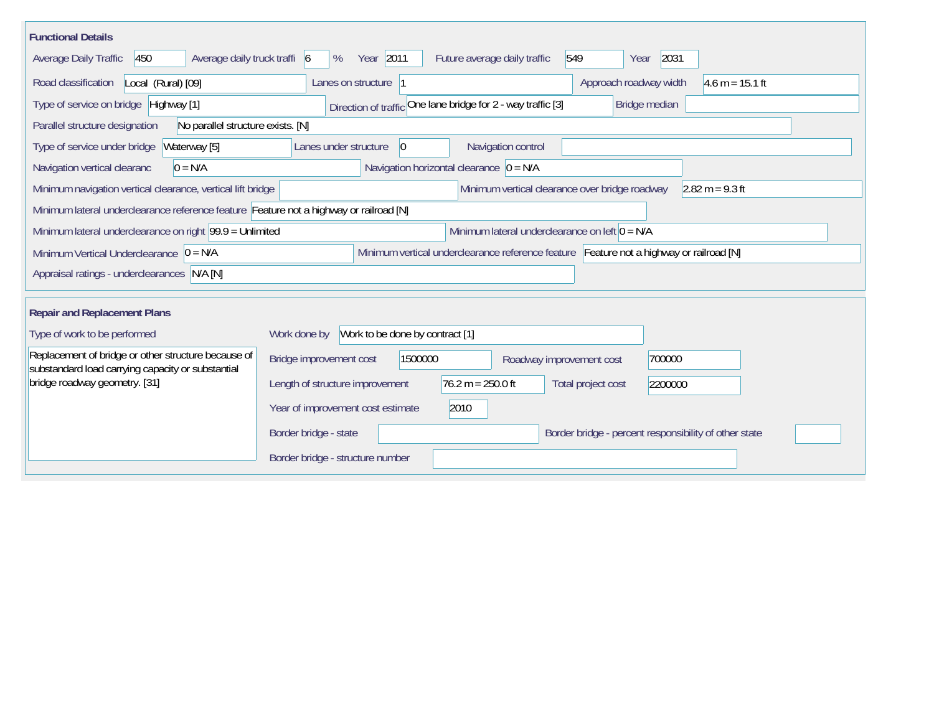| <b>Functional Details</b>                                                                                    |                                              |                                                                                         |                          |                                                       |
|--------------------------------------------------------------------------------------------------------------|----------------------------------------------|-----------------------------------------------------------------------------------------|--------------------------|-------------------------------------------------------|
| Average daily truck traffi 6<br>450<br>Average Daily Traffic                                                 | Year 2011<br>%                               | Future average daily traffic                                                            | 549<br>Year              | 2031                                                  |
| Road classification<br>Local (Rural) [09]                                                                    | Lanes on structure 1                         |                                                                                         | Approach roadway width   | $4.6 m = 15.1 ft$                                     |
| Type of service on bridge Highway [1]                                                                        |                                              | Direction of traffic One lane bridge for 2 - way traffic [3]                            | Bridge median            |                                                       |
| No parallel structure exists. [N]<br>Parallel structure designation                                          |                                              |                                                                                         |                          |                                                       |
| Type of service under bridge<br>Waterway [5]                                                                 | Lanes under structure<br>$ 0\rangle$         | Navigation control                                                                      |                          |                                                       |
| Navigation vertical clearanc<br>$0 = N/A$                                                                    |                                              | Navigation horizontal clearance $ 0 = N/A $                                             |                          |                                                       |
| Minimum navigation vertical clearance, vertical lift bridge                                                  |                                              | Minimum vertical clearance over bridge roadway                                          |                          | $2.82 m = 9.3 ft$                                     |
| Minimum lateral underclearance reference feature Feature not a highway or railroad [N]                       |                                              |                                                                                         |                          |                                                       |
| Minimum lateral underclearance on left $0 = N/A$<br>Minimum lateral underclearance on right 99.9 = Unlimited |                                              |                                                                                         |                          |                                                       |
| Minimum Vertical Underclearance $ 0 = N/A$                                                                   |                                              | Minimum vertical underclearance reference feature Feature not a highway or railroad [N] |                          |                                                       |
| Appraisal ratings - underclearances N/A [N]                                                                  |                                              |                                                                                         |                          |                                                       |
| <b>Repair and Replacement Plans</b>                                                                          |                                              |                                                                                         |                          |                                                       |
|                                                                                                              |                                              |                                                                                         |                          |                                                       |
| Type of work to be performed                                                                                 | Work done by Work to be done by contract [1] |                                                                                         |                          |                                                       |
| Replacement of bridge or other structure because of<br>substandard load carrying capacity or substantial     | Bridge improvement cost                      | 1500000                                                                                 | Roadway improvement cost | 700000                                                |
| bridge roadway geometry. [31]                                                                                | Length of structure improvement              | $76.2 m = 250.0 ft$                                                                     | Total project cost       | 2200000                                               |
|                                                                                                              | Year of improvement cost estimate            | 2010                                                                                    |                          |                                                       |
|                                                                                                              | Border bridge - state                        |                                                                                         |                          | Border bridge - percent responsibility of other state |
|                                                                                                              | Border bridge - structure number             |                                                                                         |                          |                                                       |